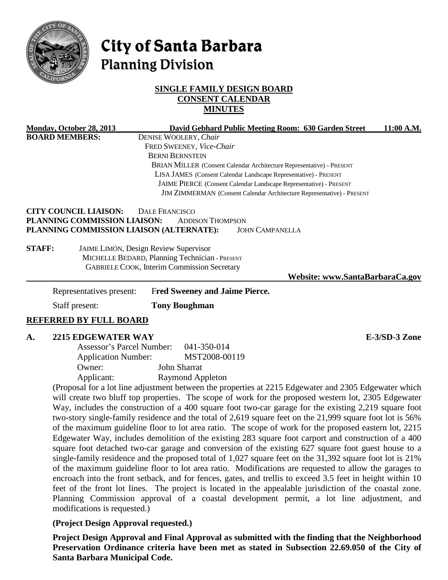

# City of Santa Barbara **Planning Division**

## **SINGLE FAMILY DESIGN BOARD CONSENT CALENDAR MINUTES**

|               | <b>Monday, October 28, 2013</b>                                                                            | David Gebhard Public Meeting Room: 630 Garden Street                                                      | 11:00 A.M.                      |  |
|---------------|------------------------------------------------------------------------------------------------------------|-----------------------------------------------------------------------------------------------------------|---------------------------------|--|
|               | <b>BOARD MEMBERS:</b>                                                                                      | DENISE WOOLERY, Chair                                                                                     |                                 |  |
|               |                                                                                                            | FRED SWEENEY, Vice-Chair                                                                                  |                                 |  |
|               |                                                                                                            | <b>BERNI BERNSTEIN</b>                                                                                    |                                 |  |
|               |                                                                                                            | BRIAN MILLER (Consent Calendar Architecture Representative) - PRESENT                                     |                                 |  |
|               |                                                                                                            | LISA JAMES (Consent Calendar Landscape Representative) - PRESENT                                          |                                 |  |
|               |                                                                                                            | JAIME PIERCE (Consent Calendar Landscape Representative) - PRESENT                                        |                                 |  |
|               |                                                                                                            | JIM ZIMMERMAN (Consent Calendar Architecture Representative) - PRESENT                                    |                                 |  |
|               | <b>CITY COUNCIL LIAISON:</b>                                                                               | <b>DALE FRANCISCO</b>                                                                                     |                                 |  |
|               | PLANNING COMMISSION LIAISON:                                                                               | <b>ADDISON THOMPSON</b>                                                                                   |                                 |  |
|               |                                                                                                            | PLANNING COMMISSION LIAISON (ALTERNATE):<br><b>JOHN CAMPANELLA</b>                                        |                                 |  |
|               |                                                                                                            |                                                                                                           |                                 |  |
| <b>STAFF:</b> |                                                                                                            | JAIME LIMÓN, Design Review Supervisor                                                                     |                                 |  |
|               |                                                                                                            | MICHELLE BEDARD, Planning Technician - PRESENT                                                            |                                 |  |
|               |                                                                                                            | <b>GABRIELE COOK, Interim Commission Secretary</b>                                                        |                                 |  |
|               |                                                                                                            |                                                                                                           | Website: www.SantaBarbaraCa.gov |  |
|               | Representatives present:                                                                                   | <b>Fred Sweeney and Jaime Pierce.</b>                                                                     |                                 |  |
|               | Staff present:                                                                                             | <b>Tony Boughman</b>                                                                                      |                                 |  |
|               |                                                                                                            |                                                                                                           |                                 |  |
|               | <b>REFERRED BY FULL BOARD</b>                                                                              |                                                                                                           |                                 |  |
| A.            | <b>2215 EDGEWATER WAY</b>                                                                                  |                                                                                                           | E-3/SD-3 Zone                   |  |
|               | <b>Assessor's Parcel Number:</b>                                                                           | 041-350-014                                                                                               |                                 |  |
|               | <b>Application Number:</b>                                                                                 | MST2008-00119                                                                                             |                                 |  |
|               | Owner:                                                                                                     | John Sharrat                                                                                              |                                 |  |
|               | Applicant:                                                                                                 | <b>Raymond Appleton</b>                                                                                   |                                 |  |
|               |                                                                                                            |                                                                                                           |                                 |  |
|               |                                                                                                            | (Proposal for a lot line adjustment between the properties at 2215 Edgewater and 2305 Edgewater which     |                                 |  |
|               |                                                                                                            | will create two bluff top properties. The scope of work for the proposed western lot, 2305 Edgewater      |                                 |  |
|               |                                                                                                            | Way, includes the construction of a 400 square foot two-car garage for the existing 2,219 square foot     |                                 |  |
|               |                                                                                                            | two-story single-family residence and the total of 2,619 square feet on the 21,999 square foot lot is 56% |                                 |  |
|               | of the maximum guideline floor to lot area ratio. The scope of work for the proposed eastern lot, 2215     |                                                                                                           |                                 |  |
|               | Edgewater Way, includes demolition of the existing 283 square foot carport and construction of a 400       |                                                                                                           |                                 |  |
|               | square foot detached two-car garage and conversion of the existing 627 square foot guest house to a        |                                                                                                           |                                 |  |
|               | single-family residence and the proposed total of 1,027 square feet on the 31,392 square foot lot is 21%   |                                                                                                           |                                 |  |
|               | of the maximum guideline floor to lot area ratio. Modifications are requested to allow the garages to      |                                                                                                           |                                 |  |
|               | encroach into the front setback, and for fences, gates, and trellis to exceed 3.5 feet in height within 10 |                                                                                                           |                                 |  |
|               | feet of the front lot lines. The project is located in the appealable jurisdiction of the coastal zone.    |                                                                                                           |                                 |  |
|               |                                                                                                            | Planning Commission approval of a coastal development permit, a lot line adjustment, and                  |                                 |  |

## **(Project Design Approval requested.)**

modifications is requested.)

**Project Design Approval and Final Approval as submitted with the finding that the Neighborhood Preservation Ordinance criteria have been met as stated in Subsection 22.69.050 of the City of Santa Barbara Municipal Code.**